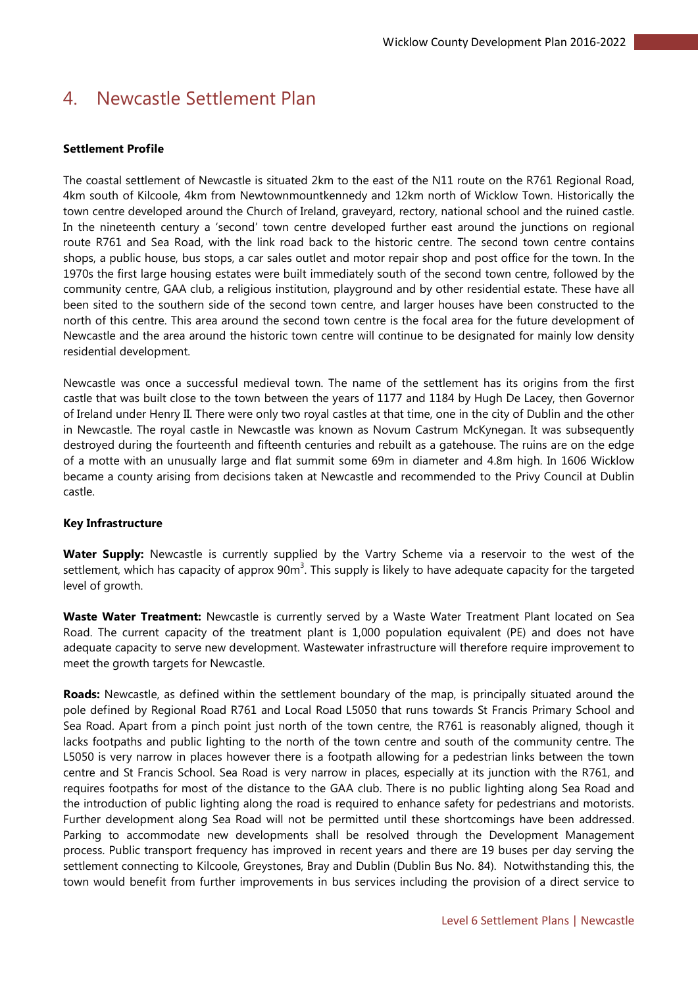# 4. Newcastle Settlement Plan

# **Settlement Profile**

The coastal settlement of Newcastle is situated 2km to the east of the N11 route on the R761 Regional Road, 4km south of Kilcoole, 4km from Newtownmountkennedy and 12km north of Wicklow Town. Historically the town centre developed around the Church of Ireland, graveyard, rectory, national school and the ruined castle. In the nineteenth century a 'second' town centre developed further east around the junctions on regional route R761 and Sea Road, with the link road back to the historic centre. The second town centre contains shops, a public house, bus stops, a car sales outlet and motor repair shop and post office for the town. In the 1970s the first large housing estates were built immediately south of the second town centre, followed by the community centre, GAA club, a religious institution, playground and by other residential estate. These have all been sited to the southern side of the second town centre, and larger houses have been constructed to the north of this centre. This area around the second town centre is the focal area for the future development of Newcastle and the area around the historic town centre will continue to be designated for mainly low density residential development.

Newcastle was once a successful medieval town. The name of the settlement has its origins from the first castle that was built close to the town between the years of 1177 and 1184 by Hugh De Lacey, then Governor of Ireland under Henry II. There were only two royal castles at that time, one in the city of Dublin and the other in Newcastle. The royal castle in Newcastle was known as Novum Castrum McKynegan. It was subsequently destroyed during the fourteenth and fifteenth centuries and rebuilt as a gatehouse. The ruins are on the edge of a motte with an unusually large and flat summit some 69m in diameter and 4.8m high. In 1606 Wicklow became a county arising from decisions taken at Newcastle and recommended to the Privy Council at Dublin castle.

# **Key Infrastructure**

**Water Supply:** Newcastle is currently supplied by the Vartry Scheme via a reservoir to the west of the settlement, which has capacity of approx 90m<sup>3</sup>. This supply is likely to have adequate capacity for the targeted level of growth.

**Waste Water Treatment:** Newcastle is currently served by a Waste Water Treatment Plant located on Sea Road. The current capacity of the treatment plant is 1,000 population equivalent (PE) and does not have adequate capacity to serve new development. Wastewater infrastructure will therefore require improvement to meet the growth targets for Newcastle.

**Roads:** Newcastle, as defined within the settlement boundary of the map, is principally situated around the pole defined by Regional Road R761 and Local Road L5050 that runs towards St Francis Primary School and Sea Road. Apart from a pinch point just north of the town centre, the R761 is reasonably aligned, though it lacks footpaths and public lighting to the north of the town centre and south of the community centre. The L5050 is very narrow in places however there is a footpath allowing for a pedestrian links between the town centre and St Francis School. Sea Road is very narrow in places, especially at its junction with the R761, and requires footpaths for most of the distance to the GAA club. There is no public lighting along Sea Road and the introduction of public lighting along the road is required to enhance safety for pedestrians and motorists. Further development along Sea Road will not be permitted until these shortcomings have been addressed. Parking to accommodate new developments shall be resolved through the Development Management process. Public transport frequency has improved in recent years and there are 19 buses per day serving the settlement connecting to Kilcoole, Greystones, Bray and Dublin (Dublin Bus No. 84). Notwithstanding this, the town would benefit from further improvements in bus services including the provision of a direct service to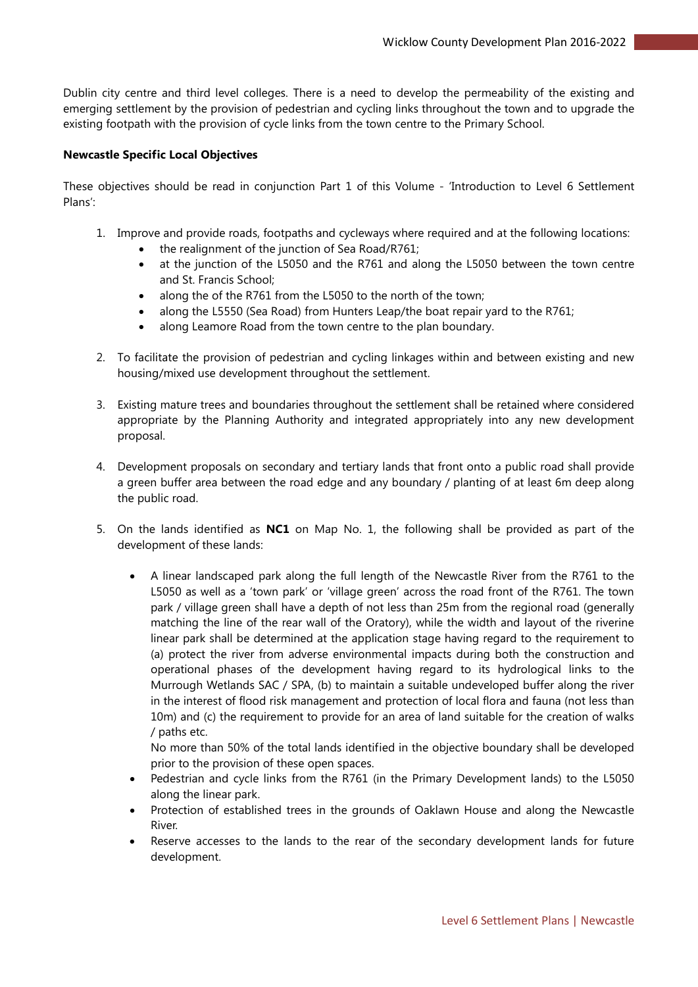Dublin city centre and third level colleges. There is a need to develop the permeability of the existing and emerging settlement by the provision of pedestrian and cycling links throughout the town and to upgrade the existing footpath with the provision of cycle links from the town centre to the Primary School.

# **Newcastle Specific Local Objectives**

These objectives should be read in conjunction Part 1 of this Volume - 'Introduction to Level 6 Settlement Plans':

- 1. Improve and provide roads, footpaths and cycleways where required and at the following locations:
	- the realignment of the junction of Sea Road/R761;
	- at the junction of the L5050 and the R761 and along the L5050 between the town centre and St. Francis School;
	- along the of the R761 from the L5050 to the north of the town;
	- along the L5550 (Sea Road) from Hunters Leap/the boat repair yard to the R761;
	- along Leamore Road from the town centre to the plan boundary.
- 2. To facilitate the provision of pedestrian and cycling linkages within and between existing and new housing/mixed use development throughout the settlement.
- 3. Existing mature trees and boundaries throughout the settlement shall be retained where considered appropriate by the Planning Authority and integrated appropriately into any new development proposal.
- 4. Development proposals on secondary and tertiary lands that front onto a public road shall provide a green buffer area between the road edge and any boundary / planting of at least 6m deep along the public road.
- 5. On the lands identified as **NC1** on Map No. 1, the following shall be provided as part of the development of these lands:
	- A linear landscaped park along the full length of the Newcastle River from the R761 to the L5050 as well as a 'town park' or 'village green' across the road front of the R761. The town park / village green shall have a depth of not less than 25m from the regional road (generally matching the line of the rear wall of the Oratory), while the width and layout of the riverine linear park shall be determined at the application stage having regard to the requirement to (a) protect the river from adverse environmental impacts during both the construction and operational phases of the development having regard to its hydrological links to the Murrough Wetlands SAC / SPA, (b) to maintain a suitable undeveloped buffer along the river in the interest of flood risk management and protection of local flora and fauna (not less than 10m) and (c) the requirement to provide for an area of land suitable for the creation of walks / paths etc.

No more than 50% of the total lands identified in the objective boundary shall be developed prior to the provision of these open spaces.

- Pedestrian and cycle links from the R761 (in the Primary Development lands) to the L5050 along the linear park.
- Protection of established trees in the grounds of Oaklawn House and along the Newcastle River.
- Reserve accesses to the lands to the rear of the secondary development lands for future development.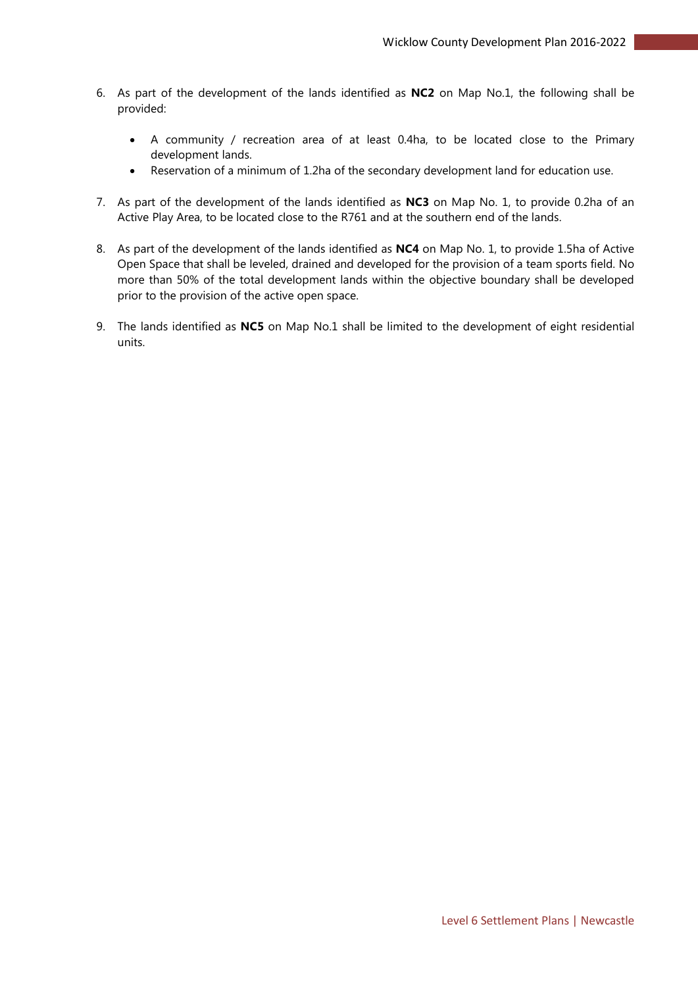- 6. As part of the development of the lands identified as **NC2** on Map No.1, the following shall be provided:
	- A community / recreation area of at least 0.4ha, to be located close to the Primary development lands.
	- Reservation of a minimum of 1.2ha of the secondary development land for education use.
- 7. As part of the development of the lands identified as **NC3** on Map No. 1, to provide 0.2ha of an Active Play Area, to be located close to the R761 and at the southern end of the lands.
- 8. As part of the development of the lands identified as **NC4** on Map No. 1, to provide 1.5ha of Active Open Space that shall be leveled, drained and developed for the provision of a team sports field. No more than 50% of the total development lands within the objective boundary shall be developed prior to the provision of the active open space.
- 9. The lands identified as **NC5** on Map No.1 shall be limited to the development of eight residential units.